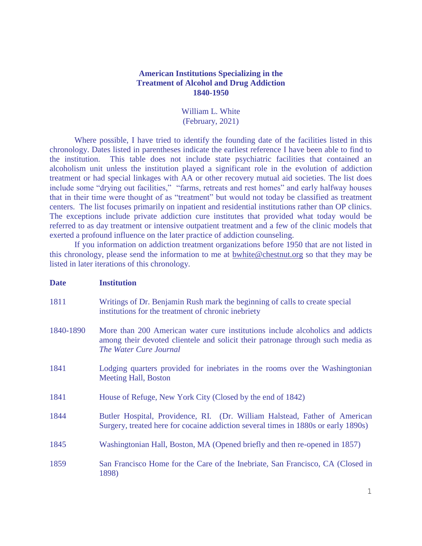## **American Institutions Specializing in the Treatment of Alcohol and Drug Addiction 1840-1950**

William L. White (February, 2021)

Where possible, I have tried to identify the founding date of the facilities listed in this chronology. Dates listed in parentheses indicate the earliest reference I have been able to find to the institution. This table does not include state psychiatric facilities that contained an alcoholism unit unless the institution played a significant role in the evolution of addiction treatment or had special linkages with AA or other recovery mutual aid societies. The list does include some "drying out facilities," "farms, retreats and rest homes" and early halfway houses that in their time were thought of as "treatment" but would not today be classified as treatment centers. The list focuses primarily on inpatient and residential institutions rather than OP clinics. The exceptions include private addiction cure institutes that provided what today would be referred to as day treatment or intensive outpatient treatment and a few of the clinic models that exerted a profound influence on the later practice of addiction counseling.

If you information on addiction treatment organizations before 1950 that are not listed in this chronology, please send the information to me at [bwhite@chestnut.org](mailto:bwhite@chestnut.org) so that they may be listed in later iterations of this chronology.

## **Date Institution**

- 1811 Writings of Dr. Benjamin Rush mark the beginning of calls to create special institutions for the treatment of chronic inebriety
- 1840-1890 More than 200 American water cure institutions include alcoholics and addicts among their devoted clientele and solicit their patronage through such media as *The Water Cure Journal*
- 1841 Lodging quarters provided for inebriates in the rooms over the Washingtonian Meeting Hall, Boston
- 1841 House of Refuge, New York City (Closed by the end of 1842)
- 1844 Butler Hospital, Providence, RI. (Dr. William Halstead, Father of American Surgery, treated here for cocaine addiction several times in 1880s or early 1890s)
- 1845 Washingtonian Hall, Boston, MA (Opened briefly and then re-opened in 1857)
- 1859 San Francisco Home for the Care of the Inebriate, San Francisco, CA (Closed in 1898)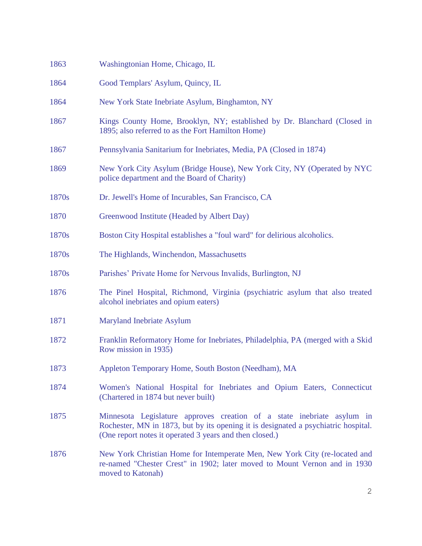| 1863  | Washingtonian Home, Chicago, IL                                                                                                                                                                                         |
|-------|-------------------------------------------------------------------------------------------------------------------------------------------------------------------------------------------------------------------------|
| 1864  | Good Templars' Asylum, Quincy, IL                                                                                                                                                                                       |
| 1864  | New York State Inebriate Asylum, Binghamton, NY                                                                                                                                                                         |
| 1867  | Kings County Home, Brooklyn, NY; established by Dr. Blanchard (Closed in<br>1895; also referred to as the Fort Hamilton Home)                                                                                           |
| 1867  | Pennsylvania Sanitarium for Inebriates, Media, PA (Closed in 1874)                                                                                                                                                      |
| 1869  | New York City Asylum (Bridge House), New York City, NY (Operated by NYC<br>police department and the Board of Charity)                                                                                                  |
| 1870s | Dr. Jewell's Home of Incurables, San Francisco, CA                                                                                                                                                                      |
| 1870  | Greenwood Institute (Headed by Albert Day)                                                                                                                                                                              |
| 1870s | Boston City Hospital establishes a "foul ward" for delirious alcoholics.                                                                                                                                                |
| 1870s | The Highlands, Winchendon, Massachusetts                                                                                                                                                                                |
| 1870s | Parishes' Private Home for Nervous Invalids, Burlington, NJ                                                                                                                                                             |
| 1876  | The Pinel Hospital, Richmond, Virginia (psychiatric asylum that also treated<br>alcohol inebriates and opium eaters)                                                                                                    |
| 1871  | Maryland Inebriate Asylum                                                                                                                                                                                               |
| 1872  | Franklin Reformatory Home for Inebriates, Philadelphia, PA (merged with a Skid<br>Row mission in 1935)                                                                                                                  |
| 1873  | Appleton Temporary Home, South Boston (Needham), MA                                                                                                                                                                     |
| 1874  | Women's National Hospital for Inebriates and Opium Eaters, Connecticut<br>(Chartered in 1874 but never built)                                                                                                           |
| 1875  | Minnesota Legislature approves creation of a state inebriate asylum in<br>Rochester, MN in 1873, but by its opening it is designated a psychiatric hospital.<br>(One report notes it operated 3 years and then closed.) |
| 1876  | New York Christian Home for Intemperate Men, New York City (re-located and<br>re-named "Chester Crest" in 1902; later moved to Mount Vernon and in 1930<br>moved to Katonah)                                            |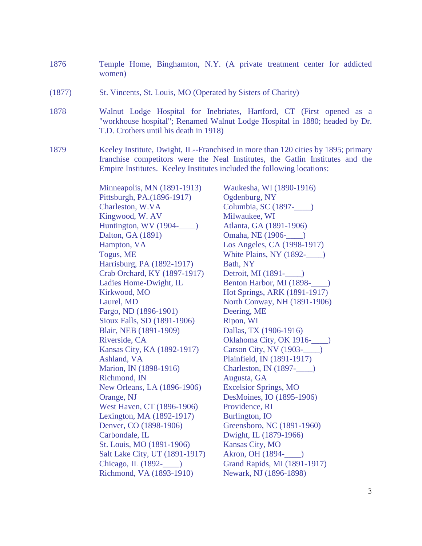- 1876 Temple Home, Binghamton, N.Y. (A private treatment center for addicted women)
- (1877) St. Vincents, St. Louis, MO (Operated by Sisters of Charity)
- 1878 Walnut Lodge Hospital for Inebriates, Hartford, CT (First opened as a "workhouse hospital"; Renamed Walnut Lodge Hospital in 1880; headed by Dr. T.D. Crothers until his death in 1918)
- 1879 Keeley Institute, Dwight, IL--Franchised in more than 120 cities by 1895; primary franchise competitors were the Neal Institutes, the Gatlin Institutes and the Empire Institutes. Keeley Institutes included the following locations:

Minneapolis, MN (1891-1913) Waukesha, WI (1890-1916) Pittsburgh, PA.(1896-1917) Ogdenburg, NY Charleston, W.VA Columbia, SC (1897-) Kingwood, W. AV Milwaukee, WI Huntington, WV (1904-\_\_\_\_) Atlanta, GA (1891-1906) Dalton, GA (1891) **Omaha, NE** (1906-1906) Hampton, VA Los Angeles, CA (1998-1917) Togus, ME White Plains, NY (1892-Harrisburg, PA (1892-1917) Bath, NY Crab Orchard, KY (1897-1917) Detroit, MI (1891-\_\_\_\_) Ladies Home-Dwight, IL Benton Harbor, MI (1898-Kirkwood, MO **Hot Springs, ARK (1891-1917)** Laurel, MD North Conway, NH (1891-1906) Fargo, ND (1896-1901) Deering, ME Sioux Falls, SD (1891-1906) Ripon, WI Blair, NEB (1891-1909) Dallas, TX (1906-1916) Riverside, CA Oklahoma City, OK 1916- $\qquad$ ) Kansas City, KA (1892-1917) Carson City, NV (1903-\_\_\_\_) Ashland, VA Plainfield, IN (1891-1917) Marion, IN (1898-1916) Charleston, IN (1897-) Richmond, IN Augusta, GA New Orleans, LA (1896-1906) Excelsior Springs, MO Orange, NJ DesMoines, IO (1895-1906) West Haven, CT (1896-1906) Providence, RI Lexington, MA (1892-1917) Burlington, IO Denver, CO (1898-1906) Greensboro, NC (1891-1960) Carbondale, IL Dwight, IL (1879-1966) St. Louis, MO (1891-1906) Kansas City, MO Salt Lake City, UT (1891-1917) Akron, OH (1894- $\qquad$ ) Chicago, IL (1892-\_\_\_\_) Grand Rapids, MI (1891-1917) Richmond, VA (1893-1910) Newark, NJ (1896-1898)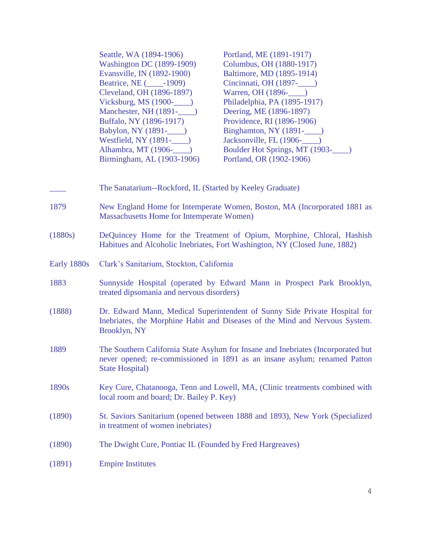|             | Seattle, WA (1894-1906)<br><b>Washington DC</b> (1899-1909)<br>Evansville, IN (1892-1900)<br>Beatrice, NE (2009)<br>Cleveland, OH (1896-1897)<br>Vicksburg, MS $(1900$ - $\qquad)$<br>Manchester, NH (1891-   (1891 - )<br>Buffalo, NY (1896-1917)<br>Babylon, NY (1891-<br><u>)</u><br>Westfield, NY $(1891$ <sup>-</sup><br>Alhambra, MT (1906-<br><u> </u><br>Birmingham, AL (1903-1906) | Portland, ME (1891-1917)<br>Columbus, OH (1880-1917)<br>Baltimore, MD (1895-1914)<br>Warren, OH (1896-1000)<br>Philadelphia, PA (1895-1917)<br>Deering, ME (1896-1897)<br>Providence, RI (1896-1906)<br>Boulder Hot Springs, MT (1903-1000)<br>Portland, OR (1902-1906) |
|-------------|---------------------------------------------------------------------------------------------------------------------------------------------------------------------------------------------------------------------------------------------------------------------------------------------------------------------------------------------------------------------------------------------|-------------------------------------------------------------------------------------------------------------------------------------------------------------------------------------------------------------------------------------------------------------------------|
|             | The Sanatarium--Rockford, IL (Started by Keeley Graduate)                                                                                                                                                                                                                                                                                                                                   |                                                                                                                                                                                                                                                                         |
| 1879        | Massachusetts Home for Intemperate Women)                                                                                                                                                                                                                                                                                                                                                   | New England Home for Intemperate Women, Boston, MA (Incorporated 1881 as                                                                                                                                                                                                |
| (1880s)     | DeQuincey Home for the Treatment of Opium, Morphine, Chloral, Hashish<br>Habitues and Alcoholic Inebriates, Fort Washington, NY (Closed June, 1882)                                                                                                                                                                                                                                         |                                                                                                                                                                                                                                                                         |
| Early 1880s | Clark's Sanitarium, Stockton, California                                                                                                                                                                                                                                                                                                                                                    |                                                                                                                                                                                                                                                                         |
| 1883        | treated dipsomania and nervous disorders)                                                                                                                                                                                                                                                                                                                                                   | Sunnyside Hospital (operated by Edward Mann in Prospect Park Brooklyn,                                                                                                                                                                                                  |
| (1888)      | Brooklyn, NY                                                                                                                                                                                                                                                                                                                                                                                | Dr. Edward Mann, Medical Superintendent of Sunny Side Private Hospital for<br>Inebriates, the Morphine Habit and Diseases of the Mind and Nervous System.                                                                                                               |
| 1889        | The Southern California State Asylum for Insane and Inebriates (Incorporated but<br>never opened; re-commissioned in 1891 as an insane asylum; renamed Patton<br><b>State Hospital</b> )                                                                                                                                                                                                    |                                                                                                                                                                                                                                                                         |
| 1890s       | local room and board; Dr. Bailey P. Key)                                                                                                                                                                                                                                                                                                                                                    | Key Cure, Chatanooga, Tenn and Lowell, MA, (Clinic treatments combined with                                                                                                                                                                                             |
| (1890)      | in treatment of women inebriates)                                                                                                                                                                                                                                                                                                                                                           | St. Saviors Sanitarium (opened between 1888 and 1893), New York (Specialized                                                                                                                                                                                            |
| (1890)      | The Dwight Cure, Pontiac IL (Founded by Fred Hargreaves)                                                                                                                                                                                                                                                                                                                                    |                                                                                                                                                                                                                                                                         |
| (1891)      | <b>Empire Institutes</b>                                                                                                                                                                                                                                                                                                                                                                    |                                                                                                                                                                                                                                                                         |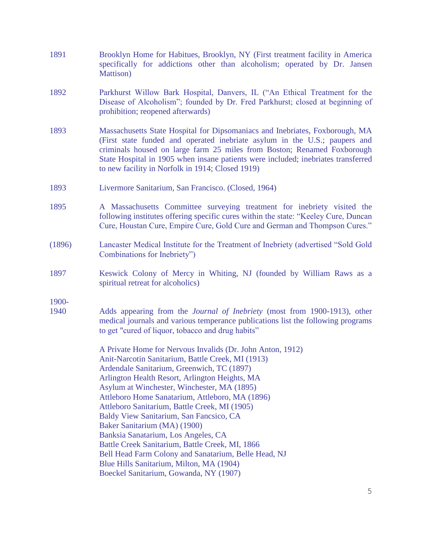- 1891 Brooklyn Home for Habitues, Brooklyn, NY (First treatment facility in America specifically for addictions other than alcoholism; operated by Dr. Jansen Mattison)
- 1892 Parkhurst Willow Bark Hospital, Danvers, IL ("An Ethical Treatment for the Disease of Alcoholism"; founded by Dr. Fred Parkhurst; closed at beginning of prohibition; reopened afterwards)
- 1893 Massachusetts State Hospital for Dipsomaniacs and Inebriates, Foxborough, MA (First state funded and operated inebriate asylum in the U.S.; paupers and criminals housed on large farm 25 miles from Boston; Renamed Foxborough State Hospital in 1905 when insane patients were included; inebriates transferred to new facility in Norfolk in 1914; Closed 1919)
- 1893 Livermore Sanitarium, San Francisco. (Closed, 1964)
- 1895 A Massachusetts Committee surveying treatment for inebriety visited the following institutes offering specific cures within the state: "Keeley Cure, Duncan Cure, Houstan Cure, Empire Cure, Gold Cure and German and Thompson Cures."
- (1896) Lancaster Medical Institute for the Treatment of Inebriety (advertised "Sold Gold Combinations for Inebriety")
- 1897 Keswick Colony of Mercy in Whiting, NJ (founded by William Raws as a spiritual retreat for alcoholics)

1900-

1940 Adds appearing from the *Journal of Inebriety* (most from 1900-1913), other medical journals and various temperance publications list the following programs to get "cured of liquor, tobacco and drug habits"

> A Private Home for Nervous Invalids (Dr. John Anton, 1912) Anit-Narcotin Sanitarium, Battle Creek, MI (1913) Ardendale Sanitarium, Greenwich, TC (1897) Arlington Health Resort, Arlington Heights, MA Asylum at Winchester, Winchester, MA (1895) Attleboro Home Sanatarium, Attleboro, MA (1896) Attleboro Sanitarium, Battle Creek, MI (1905) Baldy View Sanitarium, San Fancsico, CA Baker Sanitarium (MA) (1900) Banksia Sanatarium, Los Angeles, CA Battle Creek Sanitarium, Battle Creek, MI, 1866 Bell Head Farm Colony and Sanatarium, Belle Head, NJ Blue Hills Sanitarium, Milton, MA (1904) Boeckel Sanitarium, Gowanda, NY (1907)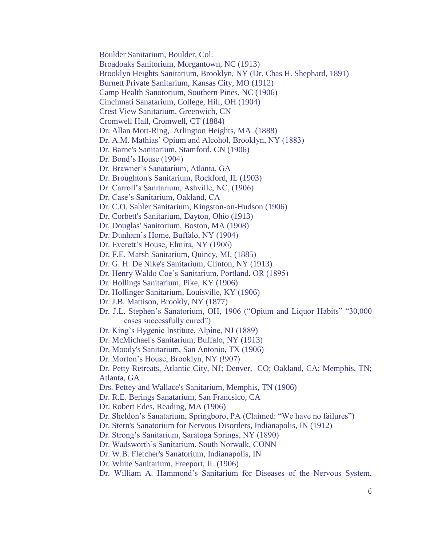Boulder Sanitarium, Boulder, Col.

Broadoaks Sanitorium, Morgantown, NC (1913)

Brooklyn Heights Sanitarium, Brooklyn, NY (Dr. Chas H. Shephard, 1891)

Burnett Private Sanitarium, Kansas City, MO (1912)

Camp Health Sanotorium, Southern Pines, NC (1906)

Cincinnati Sanatarium, College, Hill, OH (1904)

Crest View Sanitarium, Greenwich, CN

Cromwell Hall, Cromwell, CT (1884)

Dr. Allan Mott-Ring, Arlington Heights, MA (1888)

Dr. A.M. Mathias' Opium and Alcohol, Brooklyn, NY (1883)

Dr. Barne's Sanitarium, Stamford, CN (1906)

Dr. Bond's House (1904)

Dr. Brawner's Sanatarium, Atlanta, GA

Dr. Broughton's Sanitarium, Rockford, IL (1903)

Dr. Carroll's Sanitarium, Ashville, NC, (1906)

Dr. Case's Sanitarium, Oakland, CA

Dr. C.O. Sahler Sanitarium, Kingston-on-Hudson (1906)

Dr. Corbett's Sanitarium, Dayton, Ohio (1913)

Dr. Douglas' Sanitorium, Boston, MA (1908)

Dr. Dunham's Home, Buffalo, NY (1904)

Dr. Everett's House, Elmira, NY (1906)

Dr. F.E. Marsh Sanitarium, Quincy, MI, (1885)

Dr. G. H. De Nike's Sanitarium, Clinton, NY (1913)

Dr. Henry Waldo Coe's Sanitarium, Portland, OR (1895)

Dr. Hollings Sanitarium, Pike, KY (1906)

Dr. Hollinger Sanitarium, Louisville, KY (1906)

Dr. J.B. Mattison, Brookly, NY (1877)

Dr. J.L. Stephen's Sanatorium, OH, 1906 ("Opium and Liquor Habits" "30,000 cases successfully cured")

Dr. King's Hygenic Institute, Alpine, NJ (1889)

Dr. McMichael's Sanitarium, Buffalo, NY (1913)

Dr. Moody's Sanitarium, San Antonio, TX (1906)

Dr. Morton's House, Brooklyn, NY (!907)

Dr. Petty Retreats, Atlantic City, NJ; Denver, CO; Oakland, CA; Memphis, TN; Atlanta, GA

Drs. Pettey and Wallace's Sanitarium, Memphis, TN (1906)

Dr. R.E. Berings Sanatarium, San Francsico, CA

Dr. Robert Edes, Reading, MA (1906)

Dr. Sheldon's Sanatarium, Springboro, PA (Claimed: "We have no failures")

Dr. Stern's Sanatorium for Nervous Disorders, Indianapolis, IN (1912)

Dr. Strong's Sanitarium, Saratoga Springs, NY (1890)

Dr. Wadsworth's Sanitarium. South Norwalk, CONN

Dr. W.B. Fletcher's Sanatorium, Indianapolis, IN

Dr. White Sanitarium, Freeport, IL (1906)

Dr. William A. Hammond's Sanitarium for Diseases of the Nervous System,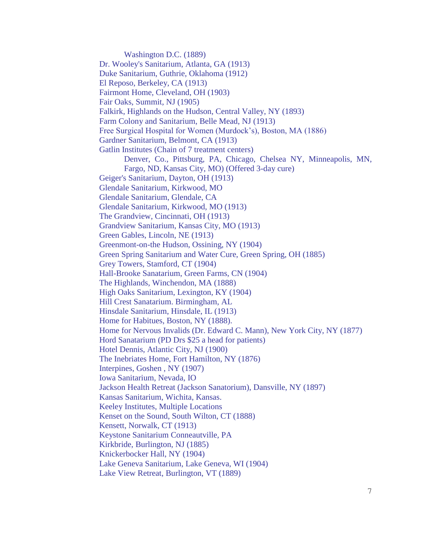Washington D.C. (1889) Dr. Wooley's Sanitarium, Atlanta, GA (1913) Duke Sanitarium, Guthrie, Oklahoma (1912) El Reposo, Berkeley, CA (1913) Fairmont Home, Cleveland, OH (1903) Fair Oaks, Summit, NJ (1905) Falkirk, Highlands on the Hudson, Central Valley, NY (1893) Farm Colony and Sanitarium, Belle Mead, NJ (1913) Free Surgical Hospital for Women (Murdock's), Boston, MA (1886) Gardner Sanitarium, Belmont, CA (1913) Gatlin Institutes (Chain of 7 treatment centers) Denver, Co., Pittsburg, PA, Chicago, Chelsea NY, Minneapolis, MN, Fargo, ND, Kansas City, MO) (Offered 3-day cure) Geiger's Sanitarium, Dayton, OH (1913) Glendale Sanitarium, Kirkwood, MO Glendale Sanitarium, Glendale, CA Glendale Sanitarium, Kirkwood, MO (1913) The Grandview, Cincinnati, OH (1913) Grandview Sanitarium, Kansas City, MO (1913) Green Gables, Lincoln, NE (1913) Greenmont-on-the Hudson, Ossining, NY (1904) Green Spring Sanitarium and Water Cure, Green Spring, OH (1885) Grey Towers, Stamford, CT (1904) Hall-Brooke Sanatarium, Green Farms, CN (1904) The Highlands, Winchendon, MA (1888) High Oaks Sanitarium, Lexington, KY (1904) Hill Crest Sanatarium. Birmingham, AL Hinsdale Sanitarium, Hinsdale, IL (1913) Home for Habitues, Boston, NY (1888). Home for Nervous Invalids (Dr. Edward C. Mann), New York City, NY (1877) Hord Sanatarium (PD Drs \$25 a head for patients) Hotel Dennis, Atlantic City, NJ (1900) The Inebriates Home, Fort Hamilton, NY (1876) Interpines, Goshen , NY (1907) Iowa Sanitarium, Nevada, IO Jackson Health Retreat (Jackson Sanatorium), Dansville, NY (1897) Kansas Sanitarium, Wichita, Kansas. Keeley Institutes, Multiple Locations Kenset on the Sound, South Wilton, CT (1888) Kensett, Norwalk, CT (1913) Keystone Sanitarium Conneautville, PA Kirkbride, Burlington, NJ (1885) Knickerbocker Hall, NY (1904) Lake Geneva Sanitarium, Lake Geneva, WI (1904) Lake View Retreat, Burlington, VT (1889)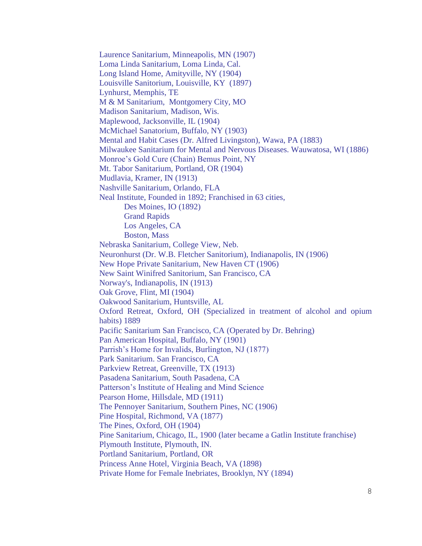Laurence Sanitarium, Minneapolis, MN (1907) Loma Linda Sanitarium, Loma Linda, Cal. Long Island Home, Amityville, NY (1904) Louisville Sanitorium, Louisville, KY (1897) Lynhurst, Memphis, TE M & M Sanitarium, Montgomery City, MO Madison Sanitarium, Madison, Wis. Maplewood, Jacksonville, IL (1904) McMichael Sanatorium, Buffalo, NY (1903) Mental and Habit Cases (Dr. Alfred Livingston), Wawa, PA (1883) Milwaukee Sanitarium for Mental and Nervous Diseases. Wauwatosa, WI (1886) Monroe's Gold Cure (Chain) Bemus Point, NY Mt. Tabor Sanitarium, Portland, OR (1904) Mudlavia, Kramer, IN (1913) Nashville Sanitarium, Orlando, FLA Neal Institute, Founded in 1892; Franchised in 63 cities, Des Moines, IO (1892) Grand Rapids Los Angeles, CA Boston, Mass Nebraska Sanitarium, College View, Neb. Neuronhurst (Dr. W.B. Fletcher Sanitorium), Indianapolis, IN (1906) New Hope Private Sanitarium, New Haven CT (1906) New Saint Winifred Sanitorium, San Francisco, CA Norway's, Indianapolis, IN (1913) Oak Grove, Flint, MI (1904) Oakwood Sanitarium, Huntsville, AL Oxford Retreat, Oxford, OH (Specialized in treatment of alcohol and opium habits) 1889 Pacific Sanitarium San Francisco, CA (Operated by Dr. Behring) Pan American Hospital, Buffalo, NY (1901) Parrish's Home for Invalids, Burlington, NJ (1877) Park Sanitarium. San Francisco, CA Parkview Retreat, Greenville, TX (1913) Pasadena Sanitarium, South Pasadena, CA Patterson's Institute of Healing and Mind Science Pearson Home, Hillsdale, MD (1911) The Pennoyer Sanitarium, Southern Pines, NC (1906) Pine Hospital, Richmond, VA (1877) The Pines, Oxford, OH (1904) Pine Sanitarium, Chicago, IL, 1900 (later became a Gatlin Institute franchise) Plymouth Institute, Plymouth, IN. Portland Sanitarium, Portland, OR Princess Anne Hotel, Virginia Beach, VA (1898) Private Home for Female Inebriates, Brooklyn, NY (1894)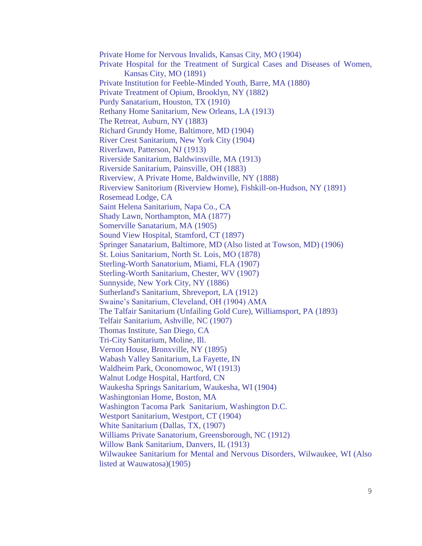Private Home for Nervous Invalids, Kansas City, MO (1904) Private Hospital for the Treatment of Surgical Cases and Diseases of Women, Kansas City, MO (1891) Private Institution for Feeble-Minded Youth, Barre, MA (1880) Private Treatment of Opium, Brooklyn, NY (1882) Purdy Sanatarium, Houston, TX (1910) Rethany Home Sanitarium, New Orleans, LA (1913) The Retreat, Auburn, NY (1883) Richard Grundy Home, Baltimore, MD (1904) River Crest Sanitarium, New York City (1904) Riverlawn, Patterson, NJ (1913) Riverside Sanitarium, Baldwinsville, MA (1913) Riverside Sanitarium, Painsville, OH (1883) Riverview, A Private Home, Baldwinville, NY (1888) Riverview Sanitorium (Riverview Home), Fishkill-on-Hudson, NY (1891) Rosemead Lodge, CA Saint Helena Sanitarium, Napa Co., CA Shady Lawn, Northampton, MA (1877) Somerville Sanatarium, MA (1905) Sound View Hospital, Stamford, CT (1897) Springer Sanatarium, Baltimore, MD (Also listed at Towson, MD) (1906) St. Loius Sanitarium, North St. Lois, MO (1878) Sterling-Worth Sanatorium, Miami, FLA (1907) Sterling-Worth Sanitarium, Chester, WV (1907) Sunnyside, New York City, NY (1886) Sutherland's Sanitarium, Shreveport, LA (1912) Swaine's Sanitarium, Cleveland, OH (1904) AMA The Talfair Sanitarium (Unfailing Gold Cure), Williamsport, PA (1893) Telfair Sanitarium, Ashville, NC (1907) Thomas Institute, San Diego, CA Tri-City Sanitarium, Moline, Ill. Vernon House, Bronxville, NY (1895) Wabash Valley Sanitarium, La Fayette, IN Waldheim Park, Oconomowoc, WI (1913) Walnut Lodge Hospital, Hartford, CN Waukesha Springs Sanitarium, Waukesha, WI (1904) Washingtonian Home, Boston, MA Washington Tacoma Park Sanitarium, Washington D.C. Westport Sanitarium, Westport, CT (1904) White Sanitarium (Dallas, TX, (1907) Williams Private Sanatorium, Greensborough, NC (1912) Willow Bank Sanitarium, Danvers, IL (1913) Wilwaukee Sanitarium for Mental and Nervous Disorders, Wilwaukee, WI (Also listed at Wauwatosa)(1905)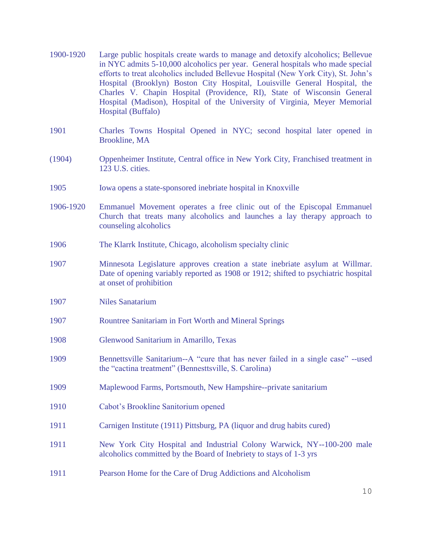| 1900-1920 | Large public hospitals create wards to manage and detoxify alcoholics; Bellevue<br>in NYC admits 5-10,000 alcoholics per year. General hospitals who made special<br>efforts to treat alcoholics included Bellevue Hospital (New York City), St. John's<br>Hospital (Brooklyn) Boston City Hospital, Louisville General Hospital, the<br>Charles V. Chapin Hospital (Providence, RI), State of Wisconsin General<br>Hospital (Madison), Hospital of the University of Virginia, Meyer Memorial<br>Hospital (Buffalo) |
|-----------|----------------------------------------------------------------------------------------------------------------------------------------------------------------------------------------------------------------------------------------------------------------------------------------------------------------------------------------------------------------------------------------------------------------------------------------------------------------------------------------------------------------------|
| 1901      | Charles Towns Hospital Opened in NYC; second hospital later opened in<br><b>Brookline, MA</b>                                                                                                                                                                                                                                                                                                                                                                                                                        |
| (1904)    | Oppenheimer Institute, Central office in New York City, Franchised treatment in<br>123 U.S. cities.                                                                                                                                                                                                                                                                                                                                                                                                                  |
| 1905      | Iowa opens a state-sponsored inebriate hospital in Knoxville                                                                                                                                                                                                                                                                                                                                                                                                                                                         |
| 1906-1920 | Emmanuel Movement operates a free clinic out of the Episcopal Emmanuel<br>Church that treats many alcoholics and launches a lay therapy approach to<br>counseling alcoholics                                                                                                                                                                                                                                                                                                                                         |
| 1906      | The Klarrk Institute, Chicago, alcoholism specialty clinic                                                                                                                                                                                                                                                                                                                                                                                                                                                           |
| 1907      | Minnesota Legislature approves creation a state inebriate asylum at Willmar.<br>Date of opening variably reported as 1908 or 1912; shifted to psychiatric hospital<br>at onset of prohibition                                                                                                                                                                                                                                                                                                                        |
| 1907      | <b>Niles Sanatarium</b>                                                                                                                                                                                                                                                                                                                                                                                                                                                                                              |
| 1907      | Rountree Sanitariam in Fort Worth and Mineral Springs                                                                                                                                                                                                                                                                                                                                                                                                                                                                |
| 1908      | Glenwood Sanitarium in Amarillo, Texas                                                                                                                                                                                                                                                                                                                                                                                                                                                                               |
| 1909      | Bennettsville Sanitarium--A "cure that has never failed in a single case" --used<br>the "cactina treatment" (Bennesttsville, S. Carolina)                                                                                                                                                                                                                                                                                                                                                                            |
| 1909      | Maplewood Farms, Portsmouth, New Hampshire--private sanitarium                                                                                                                                                                                                                                                                                                                                                                                                                                                       |
| 1910      | Cabot's Brookline Sanitorium opened                                                                                                                                                                                                                                                                                                                                                                                                                                                                                  |
| 1911      | Carnigen Institute (1911) Pittsburg, PA (liquor and drug habits cured)                                                                                                                                                                                                                                                                                                                                                                                                                                               |
| 1911      | New York City Hospital and Industrial Colony Warwick, NY--100-200 male<br>alcoholics committed by the Board of Inebriety to stays of 1-3 yrs                                                                                                                                                                                                                                                                                                                                                                         |
| 1911      | Pearson Home for the Care of Drug Addictions and Alcoholism                                                                                                                                                                                                                                                                                                                                                                                                                                                          |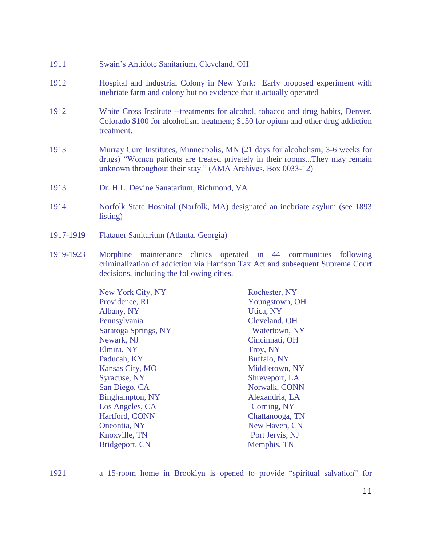- 1911 Swain's Antidote Sanitarium, Cleveland, OH
- 1912 Hospital and Industrial Colony in New York: Early proposed experiment with inebriate farm and colony but no evidence that it actually operated
- 1912 White Cross Institute --treatments for alcohol, tobacco and drug habits, Denver, Colorado \$100 for alcoholism treatment; \$150 for opium and other drug addiction treatment.
- 1913 Murray Cure Institutes, Minneapolis, MN (21 days for alcoholism; 3-6 weeks for drugs) "Women patients are treated privately in their rooms...They may remain unknown throughout their stay." (AMA Archives, Box 0033-12)
- 1913 Dr. H.L. Devine Sanatarium, Richmond, VA
- 1914 Norfolk State Hospital (Norfolk, MA) designated an inebriate asylum (see 1893 listing)
- 1917-1919 Flatauer Sanitarium (Atlanta. Georgia)
- 1919-1923 Morphine maintenance clinics operated in 44 communities following criminalization of addiction via Harrison Tax Act and subsequent Supreme Court decisions, including the following cities.

| <b>New York City, NY</b> | Rochester, NY   |
|--------------------------|-----------------|
| Providence, RI           | Youngstown, OH  |
| Albany, NY               | Utica, NY       |
| Pennsylvania             | Cleveland, OH   |
| Saratoga Springs, NY     | Watertown, NY   |
| Newark, NJ               | Cincinnati, OH  |
| Elmira, NY               | Troy, NY        |
| Paducah, KY              | Buffalo, NY     |
| <b>Kansas City, MO</b>   | Middletown, NY  |
| <b>Syracuse, NY</b>      | Shreveport, LA  |
| San Diego, CA            | Norwalk, CONN   |
| <b>Binghampton, NY</b>   | Alexandria, LA  |
| Los Angeles, CA          | Corning, NY     |
| <b>Hartford, CONN</b>    | Chattanooga, TN |
| Oneontia, NY             | New Haven, CN   |
| Knoxville, TN            | Port Jervis, NJ |
| <b>Bridgeport, CN</b>    | Memphis, TN     |
|                          |                 |

1921 a 15-room home in Brooklyn is opened to provide "spiritual salvation" for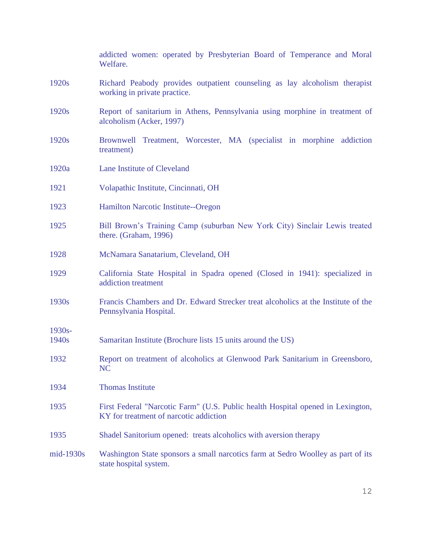|                    | addicted women: operated by Presbyterian Board of Temperance and Moral<br>Welfare.                                        |
|--------------------|---------------------------------------------------------------------------------------------------------------------------|
| 1920s              | Richard Peabody provides outpatient counseling as lay alcoholism therapist<br>working in private practice.                |
| 1920s              | Report of sanitarium in Athens, Pennsylvania using morphine in treatment of<br>alcoholism (Acker, 1997)                   |
| 1920s              | Treatment, Worcester, MA (specialist in morphine addiction<br>Brownwell<br>treatment)                                     |
| 1920a              | Lane Institute of Cleveland                                                                                               |
| 1921               | Volapathic Institute, Cincinnati, OH                                                                                      |
| 1923               | Hamilton Narcotic Institute--Oregon                                                                                       |
| 1925               | Bill Brown's Training Camp (suburban New York City) Sinclair Lewis treated<br>there. (Graham, 1996)                       |
| 1928               | McNamara Sanatarium, Cleveland, OH                                                                                        |
| 1929               | California State Hospital in Spadra opened (Closed in 1941): specialized in<br>addiction treatment                        |
| 1930s              | Francis Chambers and Dr. Edward Strecker treat alcoholics at the Institute of the<br>Pennsylvania Hospital.               |
| $1930s -$<br>1940s | Samaritan Institute (Brochure lists 15 units around the US)                                                               |
| 1932               | Report on treatment of alcoholics at Glenwood Park Sanitarium in Greensboro,<br>NC                                        |
| 1934               | <b>Thomas Institute</b>                                                                                                   |
| 1935               | First Federal "Narcotic Farm" (U.S. Public health Hospital opened in Lexington,<br>KY for treatment of narcotic addiction |
| 1935               | Shadel Sanitorium opened: treats alcoholics with aversion therapy                                                         |
| $mid-1930s$        | Washington State sponsors a small narcotics farm at Sedro Woolley as part of its<br>state hospital system.                |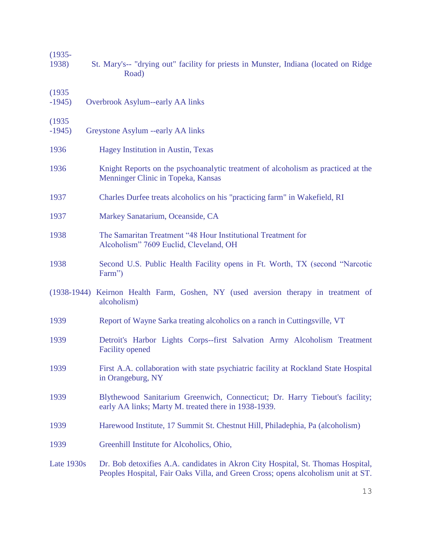| $(1935 -$<br>1938) | St. Mary's-- "drying out" facility for priests in Munster, Indiana (located on Ridge<br>Road)                                                                       |
|--------------------|---------------------------------------------------------------------------------------------------------------------------------------------------------------------|
| (1935)<br>$-1945$  | Overbrook Asylum--early AA links                                                                                                                                    |
| (1935)<br>$-1945$  | Greystone Asylum --early AA links                                                                                                                                   |
| 1936               | Hagey Institution in Austin, Texas                                                                                                                                  |
| 1936               | Knight Reports on the psychoanalytic treatment of alcoholism as practiced at the<br>Menninger Clinic in Topeka, Kansas                                              |
| 1937               | Charles Durfee treats alcoholics on his "practicing farm" in Wakefield, RI                                                                                          |
| 1937               | Markey Sanatarium, Oceanside, CA                                                                                                                                    |
| 1938               | The Samaritan Treatment "48 Hour Institutional Treatment for<br>Alcoholism" 7609 Euclid, Cleveland, OH                                                              |
| 1938               | Second U.S. Public Health Facility opens in Ft. Worth, TX (second "Narcotic<br>Farm")                                                                               |
|                    | (1938-1944) Keirnon Health Farm, Goshen, NY (used aversion therapy in treatment of<br>alcoholism)                                                                   |
| 1939               | Report of Wayne Sarka treating alcoholics on a ranch in Cuttingsville, VT                                                                                           |
| 1939               | Detroit's Harbor Lights Corps--first Salvation Army Alcoholism Treatment<br><b>Facility opened</b>                                                                  |
| 1939               | First A.A. collaboration with state psychiatric facility at Rockland State Hospital<br>in Orangeburg, NY                                                            |
| 1939               | Blythewood Sanitarium Greenwich, Connecticut; Dr. Harry Tiebout's facility;<br>early AA links; Marty M. treated there in 1938-1939.                                 |
| 1939               | Harewood Institute, 17 Summit St. Chestnut Hill, Philadephia, Pa (alcoholism)                                                                                       |
| 1939               | Greenhill Institute for Alcoholics, Ohio,                                                                                                                           |
| Late 1930s         | Dr. Bob detoxifies A.A. candidates in Akron City Hospital, St. Thomas Hospital,<br>Peoples Hospital, Fair Oaks Villa, and Green Cross; opens alcoholism unit at ST. |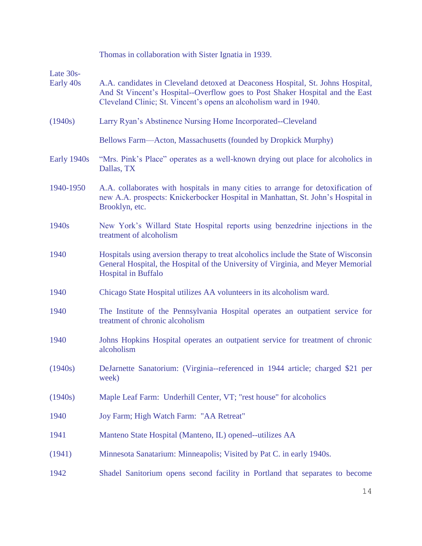|                        | Thomas in collaboration with Sister Ignatia in 1939.                                                                                                                                                                                  |
|------------------------|---------------------------------------------------------------------------------------------------------------------------------------------------------------------------------------------------------------------------------------|
| Late 30s-<br>Early 40s | A.A. candidates in Cleveland detoxed at Deaconess Hospital, St. Johns Hospital,<br>And St Vincent's Hospital--Overflow goes to Post Shaker Hospital and the East<br>Cleveland Clinic; St. Vincent's opens an alcoholism ward in 1940. |
| (1940s)                | Larry Ryan's Abstinence Nursing Home Incorporated--Cleveland                                                                                                                                                                          |
|                        | Bellows Farm—Acton, Massachusetts (founded by Dropkick Murphy)                                                                                                                                                                        |
| Early 1940s            | "Mrs. Pink's Place" operates as a well-known drying out place for alcoholics in<br>Dallas, TX                                                                                                                                         |
| 1940-1950              | A.A. collaborates with hospitals in many cities to arrange for detoxification of<br>new A.A. prospects: Knickerbocker Hospital in Manhattan, St. John's Hospital in<br>Brooklyn, etc.                                                 |
| 1940 <sub>s</sub>      | New York's Willard State Hospital reports using benzedrine injections in the<br>treatment of alcoholism                                                                                                                               |
| 1940                   | Hospitals using aversion therapy to treat alcoholics include the State of Wisconsin<br>General Hospital, the Hospital of the University of Virginia, and Meyer Memorial<br><b>Hospital in Buffalo</b>                                 |
| 1940                   | Chicago State Hospital utilizes AA volunteers in its alcoholism ward.                                                                                                                                                                 |
| 1940                   | The Institute of the Pennsylvania Hospital operates an outpatient service for<br>treatment of chronic alcoholism                                                                                                                      |
| 1940                   | Johns Hopkins Hospital operates an outpatient service for treatment of chronic<br>alcoholism                                                                                                                                          |
| (1940s)                | DeJarnette Sanatorium: (Virginia--referenced in 1944 article; charged \$21 per<br>week)                                                                                                                                               |
| (1940s)                | Maple Leaf Farm: Underhill Center, VT; "rest house" for alcoholics                                                                                                                                                                    |
| 1940                   | Joy Farm; High Watch Farm: "AA Retreat"                                                                                                                                                                                               |
| 1941                   | Manteno State Hospital (Manteno, IL) opened--utilizes AA                                                                                                                                                                              |
| (1941)                 | Minnesota Sanatarium: Minneapolis; Visited by Pat C. in early 1940s.                                                                                                                                                                  |
| 1942                   | Shadel Sanitorium opens second facility in Portland that separates to become                                                                                                                                                          |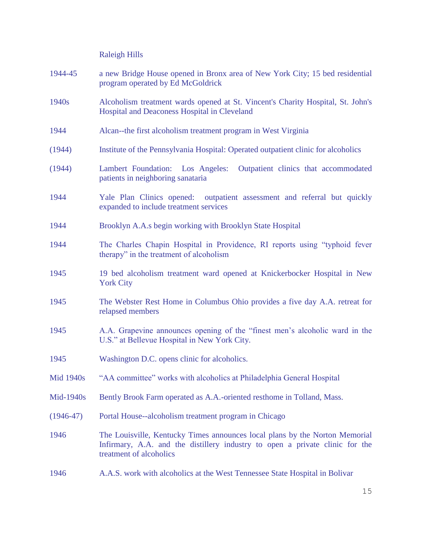Raleigh Hills

- 1944-45 a new Bridge House opened in Bronx area of New York City; 15 bed residential program operated by Ed McGoldrick
- 1940s Alcoholism treatment wards opened at St. Vincent's Charity Hospital, St. John's Hospital and Deaconess Hospital in Cleveland
- 1944 Alcan--the first alcoholism treatment program in West Virginia
- (1944) Institute of the Pennsylvania Hospital: Operated outpatient clinic for alcoholics
- (1944) Lambert Foundation: Los Angeles: Outpatient clinics that accommodated patients in neighboring sanataria
- 1944 Yale Plan Clinics opened: outpatient assessment and referral but quickly expanded to include treatment services
- 1944 Brooklyn A.A.s begin working with Brooklyn State Hospital
- 1944 The Charles Chapin Hospital in Providence, RI reports using "typhoid fever therapy" in the treatment of alcoholism
- 1945 19 bed alcoholism treatment ward opened at Knickerbocker Hospital in New York City
- 1945 The Webster Rest Home in Columbus Ohio provides a five day A.A. retreat for relapsed members
- 1945 A.A. Grapevine announces opening of the "finest men's alcoholic ward in the U.S." at Bellevue Hospital in New York City.
- 1945 Washington D.C. opens clinic for alcoholics.
- Mid 1940s "AA committee" works with alcoholics at Philadelphia General Hospital
- Mid-1940s Bently Brook Farm operated as A.A.-oriented resthome in Tolland, Mass.
- (1946-47) Portal House--alcoholism treatment program in Chicago
- 1946 The Louisville, Kentucky Times announces local plans by the Norton Memorial Infirmary, A.A. and the distillery industry to open a private clinic for the treatment of alcoholics
- 1946 A.A.S. work with alcoholics at the West Tennessee State Hospital in Bolivar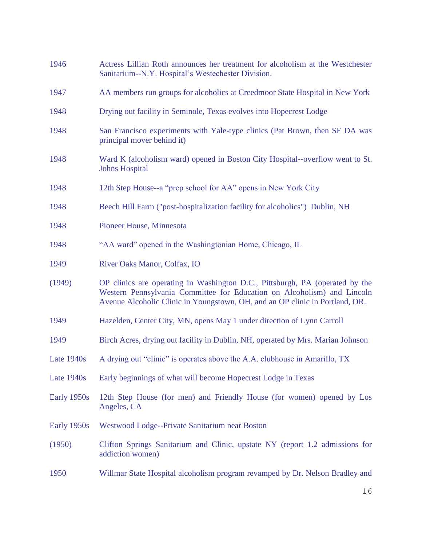| 1946        | Actress Lillian Roth announces her treatment for alcoholism at the Westchester<br>Sanitarium--N.Y. Hospital's Westechester Division.                                                                                                    |
|-------------|-----------------------------------------------------------------------------------------------------------------------------------------------------------------------------------------------------------------------------------------|
| 1947        | AA members run groups for alcoholics at Creedmoor State Hospital in New York                                                                                                                                                            |
| 1948        | Drying out facility in Seminole, Texas evolves into Hopecrest Lodge                                                                                                                                                                     |
| 1948        | San Francisco experiments with Yale-type clinics (Pat Brown, then SF DA was<br>principal mover behind it)                                                                                                                               |
| 1948        | Ward K (alcoholism ward) opened in Boston City Hospital--overflow went to St.<br><b>Johns Hospital</b>                                                                                                                                  |
| 1948        | 12th Step House--a "prep school for AA" opens in New York City                                                                                                                                                                          |
| 1948        | Beech Hill Farm ("post-hospitalization facility for alcoholics") Dublin, NH                                                                                                                                                             |
| 1948        | Pioneer House, Minnesota                                                                                                                                                                                                                |
| 1948        | "AA ward" opened in the Washingtonian Home, Chicago, IL                                                                                                                                                                                 |
| 1949        | River Oaks Manor, Colfax, IO                                                                                                                                                                                                            |
| (1949)      | OP clinics are operating in Washington D.C., Pittsburgh, PA (operated by the<br>Western Pennsylvania Committee for Education on Alcoholism) and Lincoln<br>Avenue Alcoholic Clinic in Youngstown, OH, and an OP clinic in Portland, OR. |
| 1949        | Hazelden, Center City, MN, opens May 1 under direction of Lynn Carroll                                                                                                                                                                  |
| 1949        | Birch Acres, drying out facility in Dublin, NH, operated by Mrs. Marian Johnson                                                                                                                                                         |
| Late 1940s  | A drying out "clinic" is operates above the A.A. clubhouse in Amarillo, TX                                                                                                                                                              |
| Late 1940s  | Early beginnings of what will become Hopecrest Lodge in Texas                                                                                                                                                                           |
| Early 1950s | 12th Step House (for men) and Friendly House (for women) opened by Los<br>Angeles, CA                                                                                                                                                   |
| Early 1950s | Westwood Lodge--Private Sanitarium near Boston                                                                                                                                                                                          |
| (1950)      | Clifton Springs Sanitarium and Clinic, upstate NY (report 1.2 admissions for<br>addiction women)                                                                                                                                        |
| 1950        | Willmar State Hospital alcoholism program revamped by Dr. Nelson Bradley and                                                                                                                                                            |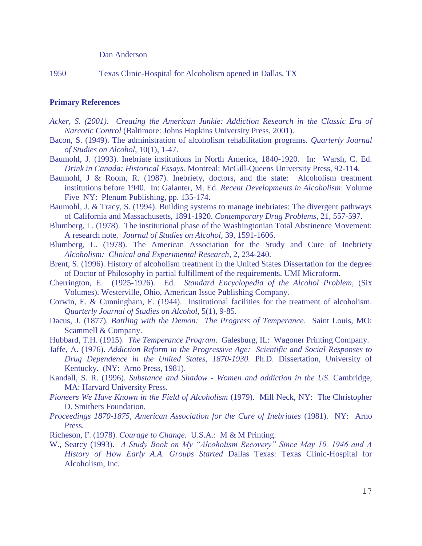## Dan Anderson

1950 Texas Clinic-Hospital for Alcoholism opened in Dallas, TX

## **Primary References**

- *Acker, S. (2001). Creating the American Junkie: Addiction Research in the Classic Era of Narcotic Control* (Baltimore: Johns Hopkins University Press, 2001).
- Bacon, S. (1949). The administration of alcoholism rehabilitation programs. *Quarterly Journal of Studies on Alcohol*, 10(1), 1-47.
- Baumohl, J. (1993). Inebriate institutions in North America, 1840-1920. In: Warsh, C. Ed. *Drink in Canada: Historical Essays.* Montreal: McGill-Queens University Press, 92-114.
- Baumohl, J & Room, R. (1987). Inebriety, doctors, and the state: Alcoholism treatment institutions before 1940. In: Galanter, M. Ed. *Recent Developments in Alcoholism*: Volume Five NY: Plenum Publishing, pp. 135-174.
- Baumohl, J. & Tracy, S. (1994). Building systems to manage inebriates: The divergent pathways of California and Massachusetts, 1891-1920. *Contemporary Drug Problems*, 21, 557-597.
- Blumberg, L. (1978). The institutional phase of the Washingtonian Total Abstinence Movement: A research note. *Journal of Studies on Alcohol,* 39, 1591-1606.
- Blumberg, L. (1978). The American Association for the Study and Cure of Inebriety *Alcoholism: Clinical and Experimental Research*, 2, 234-240.
- Brent, S. (1996). History of alcoholism treatment in the United States Dissertation for the degree of Doctor of Philosophy in partial fulfillment of the requirements. UMI Microform.
- Cherrington, E. (1925-1926). Ed. *Standard Encyclopedia of the Alcohol Problem,* (Six Volumes). Westerville, Ohio, American Issue Publishing Company.
- Corwin, E. & Cunningham, E. (1944). Institutional facilities for the treatment of alcoholism. *Quarterly Journal of Studies on Alcohol,* 5(1), 9-85.
- Dacus, J. (1877). *Battling with the Demon: The Progress of Temperance*. Saint Louis, MO: Scammell & Company.
- Hubbard, T.H. (1915). *The Temperance Program*. Galesburg, IL: Wagoner Printing Company.
- Jaffe, A. (1976). *Addiction Reform in the Progressive Age: Scientific and Social Responses to Drug Dependence in the United States, 1870-1930.* Ph.D. Dissertation, University of Kentucky. (NY: Arno Press, 1981).
- Kandall, S. R. (1996). *Substance and Shadow - Women and addiction in the US*. Cambridge, MA: Harvard University Press.
- *Pioneers We Have Known in the Field of Alcoholism* (1979). Mill Neck, NY: The Christopher D. Smithers Foundation.
- *Proceedings 1870-1875, American Association for the Cure of Inebriates* (1981). NY: Arno Press.
- Richeson, F. (1978). *Courage to Change.* U.S.A.: M & M Printing.
- W., Searcy (1993). *A Study Book on My "Alcoholism Recovery" Since May 10, 1946 and A History of How Early A.A. Groups Started* Dallas Texas: Texas Clinic-Hospital for Alcoholism, Inc.